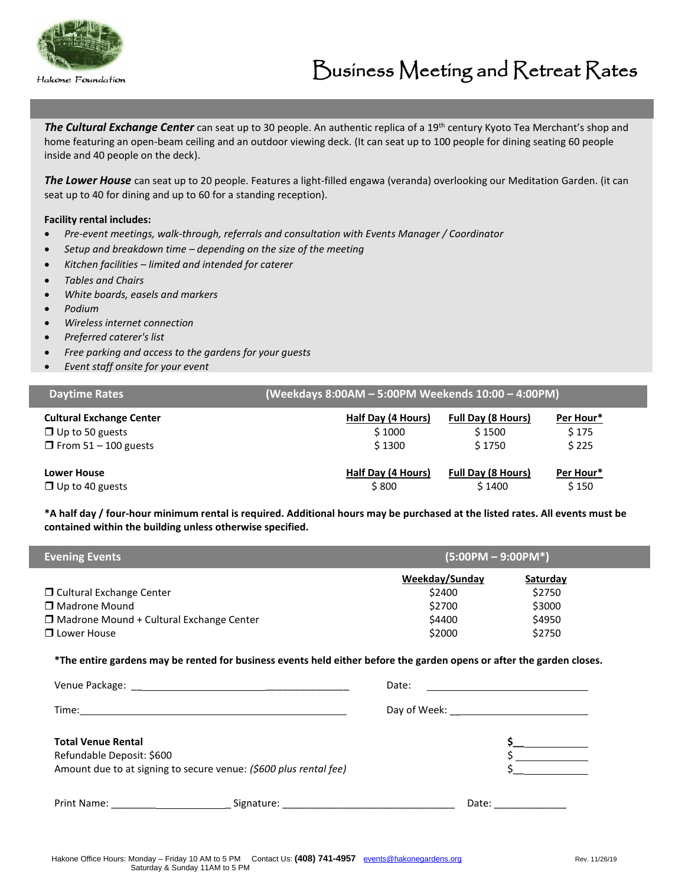

**The Cultural Exchange Center** can seat up to 30 people. An authentic replica of a 19<sup>th</sup> century Kyoto Tea Merchant's shop and home featuring an open-beam ceiling and an outdoor viewing deck. (It can seat up to 100 people for dining seating 60 people inside and 40 people on the deck).

*The Lower House* can seat up to 20 people. Features a light-filled engawa (veranda) overlooking our Meditation Garden. (it can seat up to 40 for dining and up to 60 for a standing reception).

#### **Facility rental includes:**

- *Pre-event meetings, walk-through, referrals and consultation with Events Manager / Coordinator*
- *Setup and breakdown time – depending on the size of the meeting*
- *Kitchen facilities – limited and intended for caterer*
- *Tables and Chairs*
- *White boards, easels and markers*
- *Podium*
- *Wireless internet connection*
- *Preferred caterer's list*
- *Free parking and access to the gardens for your guests*
- *Event staff onsite for your event*

| <b>Daytime Rates</b>            |                    | (Weekdays 8:00AM - 5:00PM Weekends 10:00 - 4:00PM) |           |  |  |
|---------------------------------|--------------------|----------------------------------------------------|-----------|--|--|
| <b>Cultural Exchange Center</b> | Half Day (4 Hours) | <b>Full Day (8 Hours)</b>                          | Per Hour* |  |  |
| $\Box$ Up to 50 guests          | \$1000             | \$1500                                             | \$175     |  |  |
| $\Box$ From 51 – 100 guests     | \$1300             | \$1750                                             | \$225     |  |  |
| <b>Lower House</b>              | Half Day (4 Hours) | <b>Full Day (8 Hours)</b>                          | Per Hour* |  |  |
| $\Box$ Up to 40 guests          | \$800              | \$1400                                             | \$150     |  |  |

**\*A half day / four-hour minimum rental is required. Additional hours may be purchased at the listed rates. All events must be contained within the building unless otherwise specified.**

| <b>Evening Events</b>                           | $(5:00PM - 9:00PM*)$ |          |  |
|-------------------------------------------------|----------------------|----------|--|
|                                                 | Weekday/Sunday       | Saturday |  |
| $\Box$ Cultural Exchange Center                 | \$2400               | \$2750   |  |
| □ Madrone Mound                                 | \$2700               | \$3000   |  |
| $\Box$ Madrone Mound + Cultural Exchange Center | \$4400               | \$4950   |  |
| □ Lower House                                   | \$2000               | \$2750   |  |

**\*The entire gardens may be rented for business events held either before the garden opens or after the garden closes.**

|                                                        |                                                                   | Date: |       |  |
|--------------------------------------------------------|-------------------------------------------------------------------|-------|-------|--|
|                                                        |                                                                   |       |       |  |
| <b>Total Venue Rental</b><br>Refundable Deposit: \$600 | Amount due to at signing to secure venue: (\$600 plus rental fee) |       |       |  |
| Print Name:                                            | Signature:                                                        |       | Date: |  |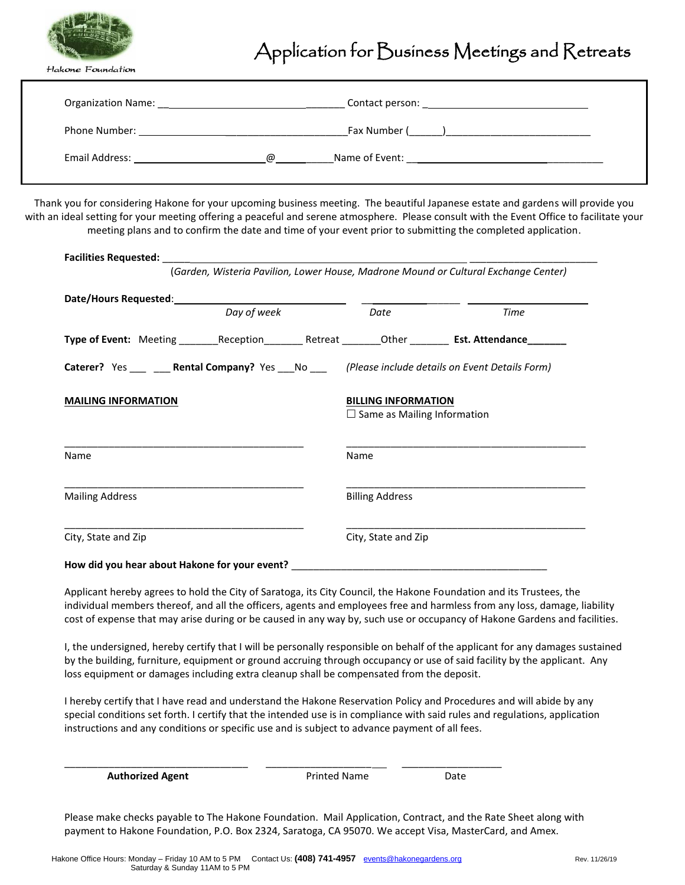

# Application for Business Meetings and Retreats

Hakone Foundation

| <b>Organization Name:</b> The Contract of the Contract of the Contract of the Contract of the Contract of the Contract of the Contract of the Contract of the Contract of the Contract of the Contract of the Contract of the Contr |   |                                            |  |  |
|-------------------------------------------------------------------------------------------------------------------------------------------------------------------------------------------------------------------------------------|---|--------------------------------------------|--|--|
| Phone Number: The Contract of the Contract of the Contract of the Contract of the Contract of the Contract of the Contract of the Contract of the Contract of the Contract of the Contract of the Contract of the Contract of       |   | Fax Number ( and )                         |  |  |
| Email Address:                                                                                                                                                                                                                      | @ | Name of Event: <u>____________________</u> |  |  |

Thank you for considering Hakone for your upcoming business meeting. The beautiful Japanese estate and gardens will provide you with an ideal setting for your meeting offering a peaceful and serene atmosphere. Please consult with the Event Office to facilitate your meeting plans and to confirm the date and time of your event prior to submitting the completed application.

|                                                                                                              |             |                                                                  | (Garden, Wisteria Pavilion, Lower House, Madrone Mound or Cultural Exchange Center) |
|--------------------------------------------------------------------------------------------------------------|-------------|------------------------------------------------------------------|-------------------------------------------------------------------------------------|
|                                                                                                              | Day of week | Date                                                             | Time                                                                                |
| Type of Event: Meeting _________Reception___________Retreat ________Other __________ Est. Attendance________ |             |                                                                  |                                                                                     |
| Caterer? Yes ____ ___ Rental Company? Yes ___ No ____ (Please include details on Event Details Form)         |             |                                                                  |                                                                                     |
| <b>MAILING INFORMATION</b>                                                                                   |             | <b>BILLING INFORMATION</b><br>$\Box$ Same as Mailing Information |                                                                                     |
| Name                                                                                                         |             | Name                                                             |                                                                                     |
| <b>Mailing Address</b>                                                                                       |             | <b>Billing Address</b>                                           |                                                                                     |
| City, State and Zip                                                                                          |             | City, State and Zip                                              |                                                                                     |
| How did you hear about Hakone for your event?                                                                |             |                                                                  |                                                                                     |

Applicant hereby agrees to hold the City of Saratoga, its City Council, the Hakone Foundation and its Trustees, the individual members thereof, and all the officers, agents and employees free and harmless from any loss, damage, liability cost of expense that may arise during or be caused in any way by, such use or occupancy of Hakone Gardens and facilities.

I, the undersigned, hereby certify that I will be personally responsible on behalf of the applicant for any damages sustained by the building, furniture, equipment or ground accruing through occupancy or use of said facility by the applicant. Any loss equipment or damages including extra cleanup shall be compensated from the deposit.

I hereby certify that I have read and understand the Hakone Reservation Policy and Procedures and will abide by any special conditions set forth. I certify that the intended use is in compliance with said rules and regulations, application instructions and any conditions or specific use and is subject to advance payment of all fees.

| <b>Printed Name</b> | Date |
|---------------------|------|
|                     |      |

Please make checks payable to The Hakone Foundation. Mail Application, Contract, and the Rate Sheet along with payment to Hakone Foundation, P.O. Box 2324, Saratoga, CA 95070. We accept Visa, MasterCard, and Amex.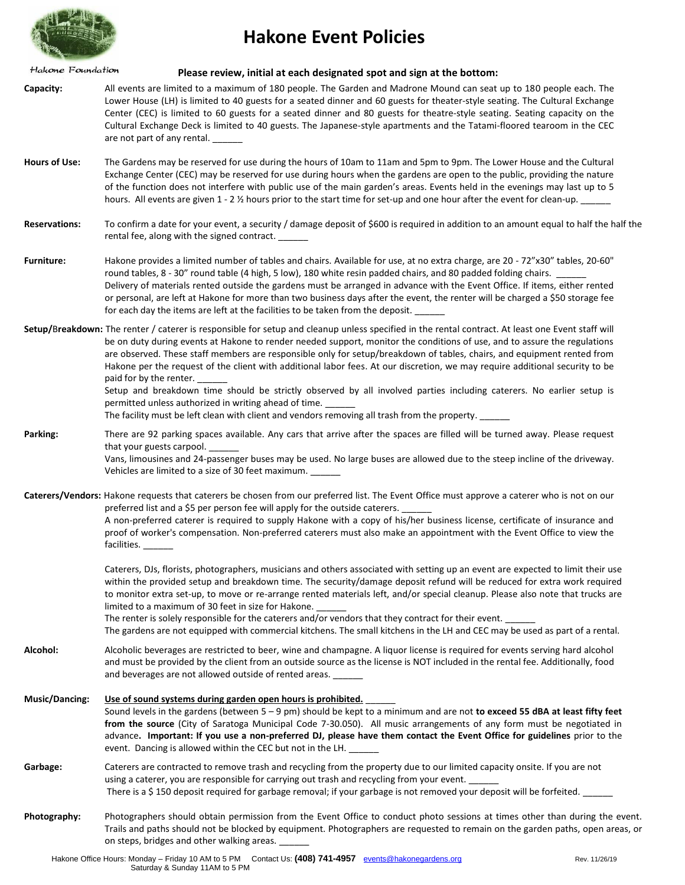

# **Hakone Event Policies**

Hakone Foundation

 **Please review, initial at each designated spot and sign at the bottom:**

- **Capacity:** All events are limited to a maximum of 180 people. The Garden and Madrone Mound can seat up to 180 people each. The Lower House (LH) is limited to 40 guests for a seated dinner and 60 guests for theater-style seating. The Cultural Exchange Center (CEC) is limited to 60 guests for a seated dinner and 80 guests for theatre-style seating. Seating capacity on the Cultural Exchange Deck is limited to 40 guests. The Japanese-style apartments and the Tatami-floored tearoom in the CEC are not part of any rental.
- **Hours of Use:** The Gardens may be reserved for use during the hours of 10am to 11am and 5pm to 9pm. The Lower House and the Cultural Exchange Center (CEC) may be reserved for use during hours when the gardens are open to the public, providing the nature of the function does not interfere with public use of the main garden's areas. Events held in the evenings may last up to 5 hours. All events are given 1 - 2 % hours prior to the start time for set-up and one hour after the event for clean-up.
- **Reservations:** To confirm a date for your event, a security / damage deposit of \$600 is required in addition to an amount equal to half the half the rental fee, along with the signed contract.
- **Furniture:** Hakone provides a limited number of tables and chairs. Available for use, at no extra charge, are 20 72"x30" tables, 20-60" round tables, 8 - 30" round table (4 high, 5 low), 180 white resin padded chairs, and 80 padded folding chairs. Delivery of materials rented outside the gardens must be arranged in advance with the Event Office. If items, either rented or personal, are left at Hakone for more than two business days after the event, the renter will be charged a \$50 storage fee for each day the items are left at the facilities to be taken from the deposit.
- **Setup/**B**reakdown:** The renter / caterer is responsible for setup and cleanup unless specified in the rental contract. At least one Event staff will be on duty during events at Hakone to render needed support, monitor the conditions of use, and to assure the regulations are observed. These staff members are responsible only for setup/breakdown of tables, chairs, and equipment rented from Hakone per the request of the client with additional labor fees. At our discretion, we may require additional security to be paid for by the renter.

Setup and breakdown time should be strictly observed by all involved parties including caterers. No earlier setup is permitted unless authorized in writing ahead of time.

The facility must be left clean with client and vendors removing all trash from the property.

**Parking:** There are 92 parking spaces available. Any cars that arrive after the spaces are filled will be turned away. Please request that your guests carpool.

Vans, limousines and 24-passenger buses may be used. No large buses are allowed due to the steep incline of the driveway. Vehicles are limited to a size of 30 feet maximum.

**Caterers/Vendors:** Hakone requests that caterers be chosen from our preferred list. The Event Office must approve a caterer who is not on our preferred list and a \$5 per person fee will apply for the outside caterers. A non-preferred caterer is required to supply Hakone with a copy of his/her business license, certificate of insurance and

proof of worker's compensation. Non-preferred caterers must also make an appointment with the Event Office to view the facilities.

Caterers, DJs, florists, photographers, musicians and others associated with setting up an event are expected to limit their use within the provided setup and breakdown time. The security/damage deposit refund will be reduced for extra work required to monitor extra set-up, to move or re-arrange rented materials left, and/or special cleanup. Please also note that trucks are limited to a maximum of 30 feet in size for Hakone.

The renter is solely responsible for the caterers and/or vendors that they contract for their event.

The gardens are not equipped with commercial kitchens. The small kitchens in the LH and CEC may be used as part of a rental.

- **Alcohol:** Alcoholic beverages are restricted to beer, wine and champagne. A liquor license is required for events serving hard alcohol and must be provided by the client from an outside source as the license is NOT included in the rental fee. Additionally, food and beverages are not allowed outside of rented areas. \_
- **Music/Dancing: Use of sound systems during garden open hours is prohibited.** \_\_\_\_\_\_ Sound levels in the gardens (between 5 – 9 pm) should be kept to a minimum and are not **to exceed 55 dBA at least fifty feet from the source** (City of Saratoga Municipal Code 7-30.050). All music arrangements of any form must be negotiated in advance**. Important: If you use a non-preferred DJ, please have them contact the Event Office for guidelines** prior to the event. Dancing is allowed within the CEC but not in the LH.
- **Garbage:** Caterers are contracted to remove trash and recycling from the property due to our limited capacity onsite. If you are not using a caterer, you are responsible for carrying out trash and recycling from your event. There is a \$150 deposit required for garbage removal; if your garbage is not removed your deposit will be forfeited.
- **Photography:** Photographers should obtain permission from the Event Office to conduct photo sessions at times other than during the event. Trails and paths should not be blocked by equipment. Photographers are requested to remain on the garden paths, open areas, or on steps, bridges and other walking areas.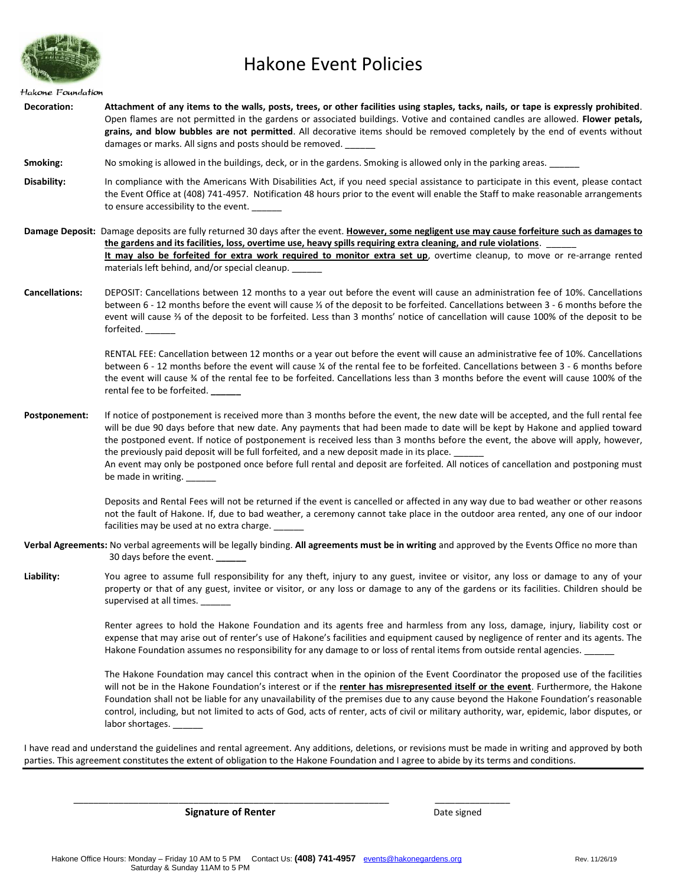

# Hakone Event Policies

#### Hakone Foundation

**Decoration: Attachment of any items to the walls, posts, trees, or other facilities using staples, tacks, nails, or tape is expressly prohibited**. Open flames are not permitted in the gardens or associated buildings. Votive and contained candles are allowed. **Flower petals, grains, and blow bubbles are not permitted**. All decorative items should be removed completely by the end of events without damages or marks. All signs and posts should be removed. \_\_\_\_\_\_

**Smoking:** No smoking is allowed in the buildings, deck, or in the gardens. Smoking is allowed only in the parking areas.

**Disability:** In compliance with the Americans With Disabilities Act, if you need special assistance to participate in this event, please contact the Event Office at (408) 741-4957. Notification 48 hours prior to the event will enable the Staff to make reasonable arrangements to ensure accessibility to the event.

**Damage Deposit:** Damage deposits are fully returned 30 days after the event. **However, some negligent use may cause forfeiture such as damages to the gardens and its facilities, loss, overtime use, heavy spills requiring extra cleaning, and rule violations**. \_\_\_\_\_\_ **It may also be forfeited for extra work required to monitor extra set up**, overtime cleanup, to move or re-arrange rented materials left behind, and/or special cleanup.

**Cancellations:** DEPOSIT: Cancellations between 12 months to a year out before the event will cause an administration fee of 10%. Cancellations between 6 - 12 months before the event will cause ⅓ of the deposit to be forfeited. Cancellations between 3 - 6 months before the event will cause ⅔ of the deposit to be forfeited. Less than 3 months' notice of cancellation will cause 100% of the deposit to be forfeited. \_\_\_\_\_\_

> RENTAL FEE: Cancellation between 12 months or a year out before the event will cause an administrative fee of 10%. Cancellations between 6 - 12 months before the event will cause ¼ of the rental fee to be forfeited. Cancellations between 3 - 6 months before the event will cause ¾ of the rental fee to be forfeited. Cancellations less than 3 months before the event will cause 100% of the rental fee to be forfeited. **\_\_\_\_\_\_**

**Postponement:** If notice of postponement is received more than 3 months before the event, the new date will be accepted, and the full rental fee will be due 90 days before that new date. Any payments that had been made to date will be kept by Hakone and applied toward the postponed event. If notice of postponement is received less than 3 months before the event, the above will apply, however, the previously paid deposit will be full forfeited, and a new deposit made in its place. An event may only be postponed once before full rental and deposit are forfeited. All notices of cancellation and postponing must be made in writing.

> Deposits and Rental Fees will not be returned if the event is cancelled or affected in any way due to bad weather or other reasons not the fault of Hakone. If, due to bad weather, a ceremony cannot take place in the outdoor area rented, any one of our indoor

facilities may be used at no extra charge.

- **Verbal Agreements:** No verbal agreements will be legally binding. **All agreements must be in writing** and approved by the Events Office no more than 30 days before the event. **\_\_\_\_\_\_**
- **Liability:** You agree to assume full responsibility for any theft, injury to any guest, invitee or visitor, any loss or damage to any of your property or that of any guest, invitee or visitor, or any loss or damage to any of the gardens or its facilities. Children should be supervised at all times.

Renter agrees to hold the Hakone Foundation and its agents free and harmless from any loss, damage, injury, liability cost or expense that may arise out of renter's use of Hakone's facilities and equipment caused by negligence of renter and its agents. The Hakone Foundation assumes no responsibility for any damage to or loss of rental items from outside rental agencies.

The Hakone Foundation may cancel this contract when in the opinion of the Event Coordinator the proposed use of the facilities will not be in the Hakone Foundation's interest or if the **renter has misrepresented itself or the event**. Furthermore, the Hakone Foundation shall not be liable for any unavailability of the premises due to any cause beyond the Hakone Foundation's reasonable control, including, but not limited to acts of God, acts of renter, acts of civil or military authority, war, epidemic, labor disputes, or labor shortages.

I have read and understand the guidelines and rental agreement. Any additions, deletions, or revisions must be made in writing and approved by both parties. This agreement constitutes the extent of obligation to the Hakone Foundation and I agree to abide by its terms and conditions.

**Signature of Renter Date signed Date signed** 

\_\_\_\_\_\_\_\_\_\_\_\_\_\_\_\_\_\_\_\_\_\_\_\_\_\_\_\_\_\_\_\_\_\_\_\_\_\_\_\_\_\_\_\_\_\_\_\_\_\_\_\_\_\_\_\_\_\_\_\_\_\_\_ \_\_\_\_\_\_\_\_\_\_\_\_\_\_\_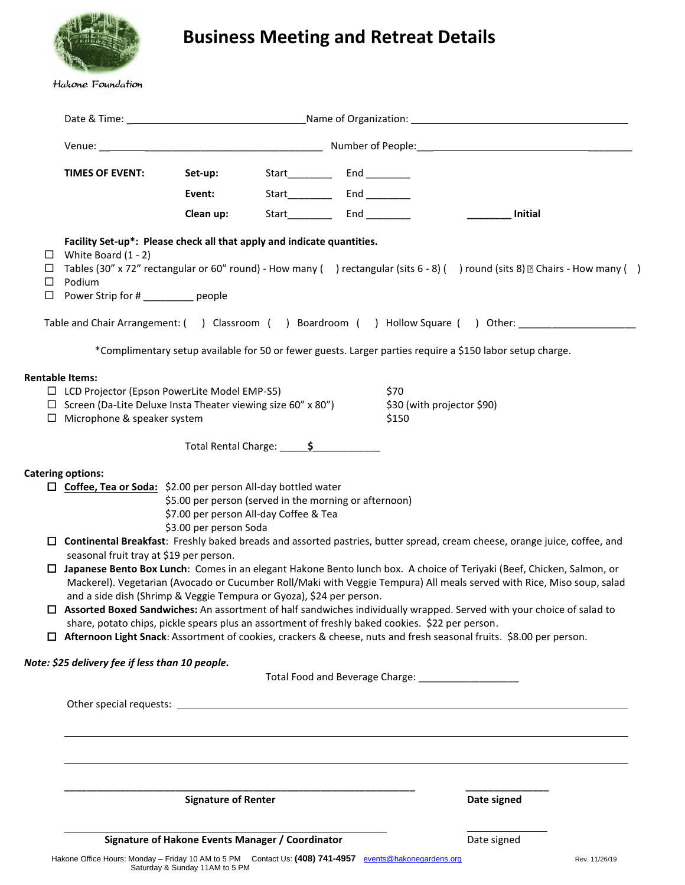

# **Business Meeting and Retreat Details**

### Hakone Foundation

|                       | TIMES OF EVENT:                                                                                                                                                                                                                                                                                                                                                                                                                                                                                                                                                                                                                                                                                                           | Set-up:<br>Event:                                                                                                          |                        |                                                                                                                                                                                                                            |                       |  |
|-----------------------|---------------------------------------------------------------------------------------------------------------------------------------------------------------------------------------------------------------------------------------------------------------------------------------------------------------------------------------------------------------------------------------------------------------------------------------------------------------------------------------------------------------------------------------------------------------------------------------------------------------------------------------------------------------------------------------------------------------------------|----------------------------------------------------------------------------------------------------------------------------|------------------------|----------------------------------------------------------------------------------------------------------------------------------------------------------------------------------------------------------------------------|-----------------------|--|
|                       |                                                                                                                                                                                                                                                                                                                                                                                                                                                                                                                                                                                                                                                                                                                           | Clean up:                                                                                                                  |                        |                                                                                                                                                                                                                            | $\frac{1}{2}$ Initial |  |
| ⊔<br>Ц<br>⊔<br>$\Box$ | Facility Set-up*: Please check all that apply and indicate quantities.<br>White Board (1 - 2)<br>Tables (30" x 72" rectangular or 60" round) - How many () rectangular (sits 6 - 8) () round (sits 8) [2] Chairs - How many ()<br>Podium<br>Power Strip for # __________ people                                                                                                                                                                                                                                                                                                                                                                                                                                           |                                                                                                                            |                        |                                                                                                                                                                                                                            |                       |  |
|                       | Table and Chair Arrangement: () Classroom () Boardroom () Hollow Square () Other: __________________                                                                                                                                                                                                                                                                                                                                                                                                                                                                                                                                                                                                                      |                                                                                                                            |                        |                                                                                                                                                                                                                            |                       |  |
|                       |                                                                                                                                                                                                                                                                                                                                                                                                                                                                                                                                                                                                                                                                                                                           |                                                                                                                            |                        | *Complimentary setup available for 50 or fewer guests. Larger parties require a \$150 labor setup charge.                                                                                                                  |                       |  |
|                       | <b>Rentable Items:</b><br>$\Box$ LCD Projector (Epson PowerLite Model EMP-S5)<br>$\Box$ Screen (Da-Lite Deluxe Insta Theater viewing size 60" x 80")<br>$\Box$ Microphone & speaker system                                                                                                                                                                                                                                                                                                                                                                                                                                                                                                                                |                                                                                                                            | Total Rental Charge: 5 | \$70<br>\$30 (with projector \$90)<br>\$150                                                                                                                                                                                |                       |  |
|                       |                                                                                                                                                                                                                                                                                                                                                                                                                                                                                                                                                                                                                                                                                                                           |                                                                                                                            |                        |                                                                                                                                                                                                                            |                       |  |
| □.                    | <b>Catering options:</b><br>□ Coffee, Tea or Soda: \$2.00 per person All-day bottled water<br>□ Continental Breakfast: Freshly baked breads and assorted pastries, butter spread, cream cheese, orange juice, coffee, and<br>seasonal fruit tray at \$19 per person.<br>Japanese Bento Box Lunch: Comes in an elegant Hakone Bento lunch box. A choice of Teriyaki (Beef, Chicken, Salmon, or<br>and a side dish (Shrimp & Veggie Tempura or Gyoza), \$24 per person.<br>□ Assorted Boxed Sandwiches: An assortment of half sandwiches individually wrapped. Served with your choice of salad to<br>□ Afternoon Light Snack: Assortment of cookies, crackers & cheese, nuts and fresh seasonal fruits. \$8.00 per person. | \$5.00 per person (served in the morning or afternoon)<br>\$7.00 per person All-day Coffee & Tea<br>\$3.00 per person Soda |                        | Mackerel). Vegetarian (Avocado or Cucumber Roll/Maki with Veggie Tempura) All meals served with Rice, Miso soup, salad<br>share, potato chips, pickle spears plus an assortment of freshly baked cookies. \$22 per person. |                       |  |
|                       | Note: \$25 delivery fee if less than 10 people.                                                                                                                                                                                                                                                                                                                                                                                                                                                                                                                                                                                                                                                                           |                                                                                                                            |                        | Total Food and Beverage Charge: _______________________                                                                                                                                                                    |                       |  |
|                       |                                                                                                                                                                                                                                                                                                                                                                                                                                                                                                                                                                                                                                                                                                                           |                                                                                                                            |                        |                                                                                                                                                                                                                            |                       |  |
|                       |                                                                                                                                                                                                                                                                                                                                                                                                                                                                                                                                                                                                                                                                                                                           | <b>Signature of Renter</b>                                                                                                 |                        |                                                                                                                                                                                                                            | Date signed           |  |
|                       |                                                                                                                                                                                                                                                                                                                                                                                                                                                                                                                                                                                                                                                                                                                           | Signature of Hakone Events Manager / Coordinator                                                                           |                        |                                                                                                                                                                                                                            | Date signed           |  |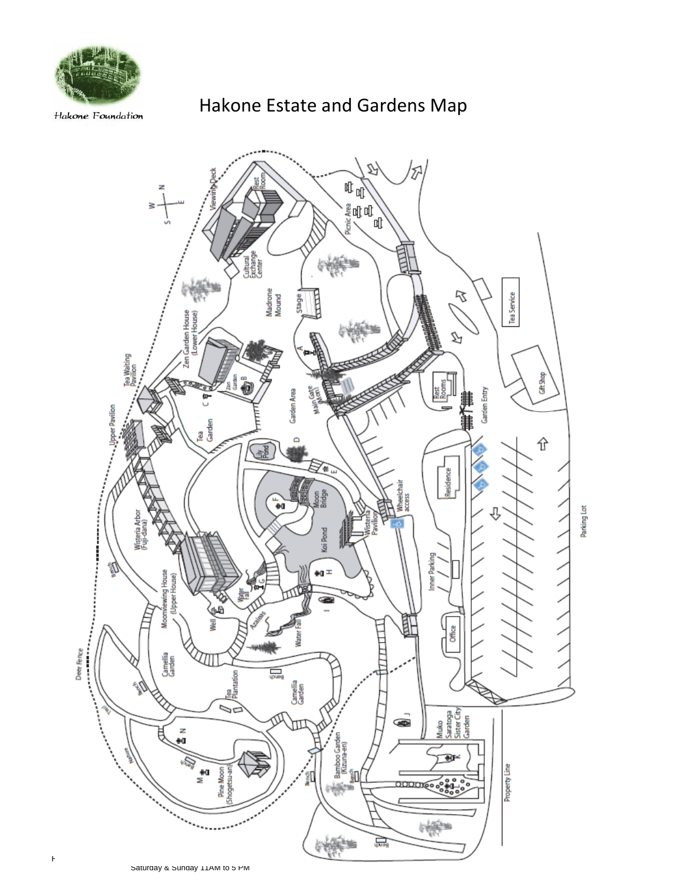

Hakone Foundation

# Hakone Estate and Gardens Map

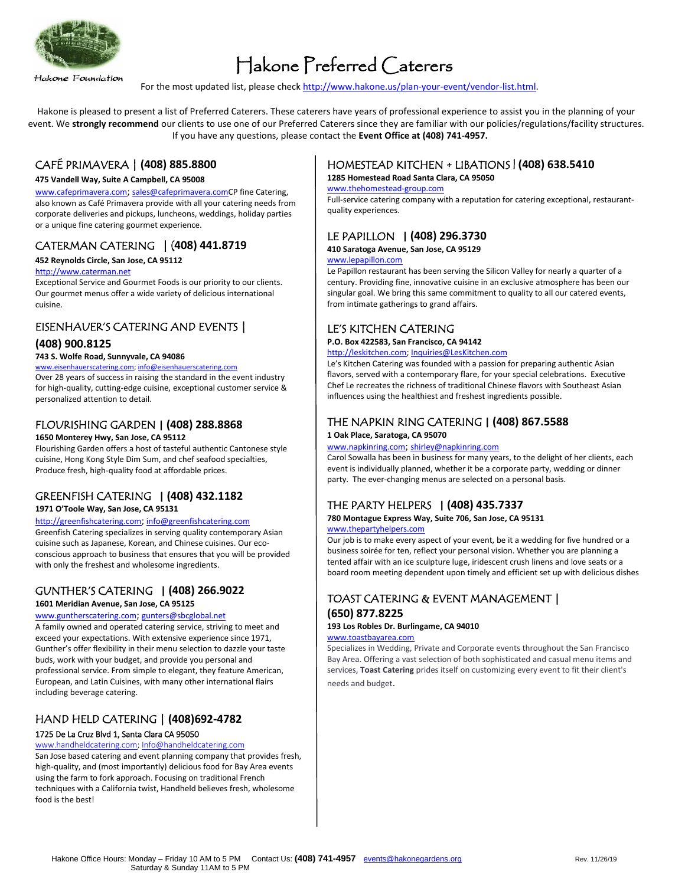

Hakone Foundation

# Hakone Preferred Caterers

For the most updated list, please check [http://www.hakone.us/plan-your-event/vendor-list.html.](http://www.hakone.us/plan-your-event/vendor-list.html)

Hakone is pleased to present a list of Preferred Caterers. These caterers have years of professional experience to assist you in the planning of your event. We strongly recommend our clients to use one of our Preferred Caterers since they are familiar with our policies/regulations/facility structures. If you have any questions, please contact the **Event Office at (408) 741-4957.**

## CAFÉ PRIMAVERA | **(408) 885.8800**

#### **475 Vandell Way, Suite A Campbell, CA 95008**

[www.cafeprimavera.com](http://www.cafeprimavera.com/); [sales@cafeprimavera.comC](mailto:sales@cafeprimavera.com)P fine Catering, also known as Café Primavera provide with all your catering needs from corporate deliveries and pickups, luncheons, weddings, holiday parties or a unique fine catering gourmet experience.

# CATERMAN CATERING | (**408) 441.8719**

#### **452 Reynolds Circle, San Jose, CA 95112**

#### [http://www.caterman.net](http://www.caterman.net/)

Exceptional Service and Gourmet Foods is our priority to our clients. Our gourmet menus offer a wide variety of delicious international cuisine.

# EISENHAUER'S CATERING AND EVENTS |

## **(408) 900.8125**

#### **743 S. Wolfe Road, Sunnyvale, CA 94086**

#### [www.eisenhauerscatering.com;](http://www.eisenhauerscatering.com/) [info@eisenhauerscatering.com](mailto:info@eisenhauerscatering.com)

Over 28 years of success in raising the standard in the event industry for high-quality, cutting-edge cuisine, exceptional customer service & personalized attention to detail.

## FLOURISHING GARDEN **| (408) 288.8868**

#### **1650 Monterey Hwy, San Jose, CA 95112**

Flourishing Garden offers a host of tasteful authentic Cantonese style cuisine, Hong Kong Style Dim Sum, and chef seafood specialties, Produce fresh, high-quality food at affordable prices.

# GREENFISH CATERING **| (408) 432.1182**

### **1971 O'Toole Way, San Jose, CA 95131**

#### [http://greenfishcatering.com](http://greenfishcatering.com/); [info@greenfishcatering.com](mailto:info@greenfishcatering.com)

Greenfish Catering specializes in serving quality contemporary Asian cuisine such as Japanese, Korean, and Chinese cuisines. Our ecoconscious approach to business that ensures that you will be provided with only the freshest and wholesome ingredients.

### GUNTHER'S CATERING **| (408) 266.9022 1601 Meridian Avenue, San Jose, CA 95125**

## [www.guntherscatering.com](http://www.guntherscatering.com/); [gunters@sbcglobal.net](mailto:gunters@sbcglobal.net)

A family owned and operated catering service, striving to meet and exceed your expectations. With extensive experience since 1971, Gunther's offer flexibility in their menu selection to dazzle your taste buds, work with your budget, and provide you personal and professional service. From simple to elegant, they feature American, European, and Latin Cuisines, with many other international flairs including beverage catering.

# HAND HELD CATERING | **(408)692-4782** 1725 De La Cruz Blvd 1, Santa Clara CA 95050

### [www.handheldcatering.com;](http://www.handheldcatering.com/) [Info@handheldcatering.com](mailto:Info@handheldcatering.com)

San Jose based catering and event planning company that provides fresh, high-quality, and (most importantly) delicious food for Bay Area events using the farm to fork approach. Focusing on traditional French techniques with a California twist, Handheld believes fresh, wholesome food is the best!

# HOMESTEAD KITCHEN + LIBATIONS | **(408) 638.5410**

#### **1285 Homestead Road Santa Clara, CA 95050**

#### [www.thehomestead-group.com](http://www.thehomestead-group.com/)

Full-service catering company with a reputation for catering exceptional, restaurantquality experiences.

# LE PAPILLON **| (408) 296.3730**

## **410 Saratoga Avenue, San Jose, CA 95129**

#### [www.lepapillon.com](http://www.lepapillon.com/)

Le Papillon restaurant has been serving the Silicon Valley for nearly a quarter of a century. Providing fine, innovative cuisine in an exclusive atmosphere has been our singular goal. We bring this same commitment to quality to all our catered events, from intimate gatherings to grand affairs.

# LE'S KITCHEN CATERING

#### **P.O. Box 422583, San Francisco, CA 94142**

[http://leskitchen.com;](http://leskitchen.com/) [Inquiries@LesKitchen.com](mailto:Inquiries@LesKitchen.com) 

Le's Kitchen Catering was founded with a passion for preparing authentic Asian flavors, served with a contemporary flare, for your special celebrations. Executive Chef Le recreates the richness of traditional Chinese flavors with Southeast Asian influences using the healthiest and freshest ingredients possible.

# THE NAPKIN RING CATERING **| (408) 867.5588**

#### **1 Oak Place, Saratoga, CA 95070**

#### [www.napkinring.com](http://www.napkinring.com/); [shirley@napkinring.com](mailto:shirley@napkinring.com)

Carol Sowalla has been in business for many years, to the delight of her clients, each event is individually planned, whether it be a corporate party, wedding or dinner party. The ever-changing menus are selected on a personal basis.

# THE PARTY HELPERS **| (408) 435.7337**

# **780 Montague Express Way, Suite 706, San Jose, CA 95131**

#### [www.thepartyhelpers.com](http://www.thepartyhelpers.com/)

Our job is to make every aspect of your event, be it a wedding for five hundred or a business soirée for ten, reflect your personal vision. Whether you are planning a tented affair with an ice sculpture luge, iridescent crush linens and love seats or a board room meeting dependent upon timely and efficient set up with delicious dishes

# TOAST CATERING & EVENT MANAGEMENT | **(650) 877.8225**

# **193 Los Robles Dr. Burlingame, CA 94010**

## [www.toastbayarea.com](http://www.toastbayarea.com/)

Specializes in Wedding, Private and Corporate events throughout the San Francisco Bay Area. Offering a vast selection of both sophisticated and casual menu items and services, **Toast Catering** prides itself on customizing every event to fit their client's needs and budget.